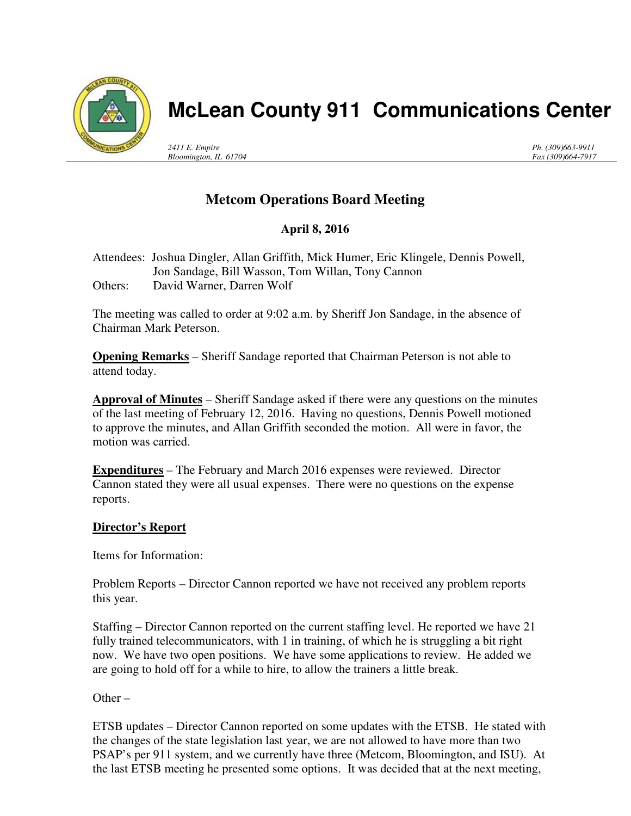

# **McLean County 911 Communications Center**

*2411 E. Empire Bloomington, IL 61704* *Ph. (309)663-9911 Fax (309)664-7917*

## **Metcom Operations Board Meeting**

## **April 8, 2016**

Attendees: Joshua Dingler, Allan Griffith, Mick Humer, Eric Klingele, Dennis Powell, Jon Sandage, Bill Wasson, Tom Willan, Tony Cannon Others: David Warner, Darren Wolf

The meeting was called to order at 9:02 a.m. by Sheriff Jon Sandage, in the absence of Chairman Mark Peterson.

**Opening Remarks** – Sheriff Sandage reported that Chairman Peterson is not able to attend today.

**Approval of Minutes** – Sheriff Sandage asked if there were any questions on the minutes of the last meeting of February 12, 2016. Having no questions, Dennis Powell motioned to approve the minutes, and Allan Griffith seconded the motion. All were in favor, the motion was carried.

**Expenditures** – The February and March 2016 expenses were reviewed. Director Cannon stated they were all usual expenses. There were no questions on the expense reports.

#### **Director's Report**

Items for Information:

Problem Reports – Director Cannon reported we have not received any problem reports this year.

Staffing – Director Cannon reported on the current staffing level. He reported we have 21 fully trained telecommunicators, with 1 in training, of which he is struggling a bit right now. We have two open positions. We have some applications to review. He added we are going to hold off for a while to hire, to allow the trainers a little break.

Other –

ETSB updates – Director Cannon reported on some updates with the ETSB. He stated with the changes of the state legislation last year, we are not allowed to have more than two PSAP's per 911 system, and we currently have three (Metcom, Bloomington, and ISU). At the last ETSB meeting he presented some options. It was decided that at the next meeting,